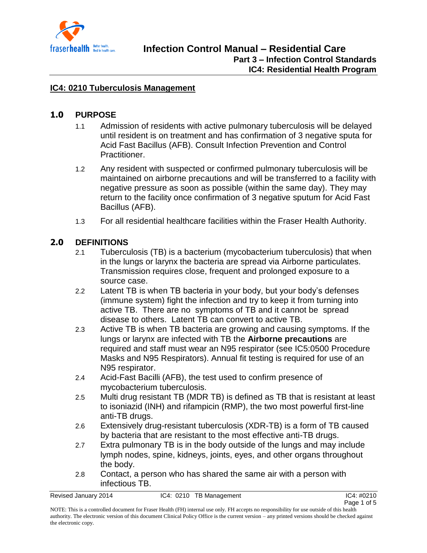

### **IC4: 0210 Tuberculosis Management**

### **1.0 PURPOSE**

- 1.1 Admission of residents with active pulmonary tuberculosis will be delayed until resident is on treatment and has confirmation of 3 negative sputa for Acid Fast Bacillus (AFB). Consult Infection Prevention and Control Practitioner.
- 1.2 Any resident with suspected or confirmed pulmonary tuberculosis will be maintained on airborne precautions and will be transferred to a facility with negative pressure as soon as possible (within the same day). They may return to the facility once confirmation of 3 negative sputum for Acid Fast Bacillus (AFB).
- 1.3 For all residential healthcare facilities within the Fraser Health Authority.

## **2.0 DEFINITIONS**

- 2.1 Tuberculosis (TB) is a bacterium (mycobacterium tuberculosis) that when in the lungs or larynx the bacteria are spread via Airborne particulates. Transmission requires close, frequent and prolonged exposure to a source case.
- 2.2 Latent TB is when TB bacteria in your body, but your body's defenses (immune system) fight the infection and try to keep it from turning into active TB. There are no symptoms of TB and it cannot be spread disease to others. Latent TB can convert to active TB.
- 2.3 Active TB is when TB bacteria are growing and causing symptoms. If the lungs or larynx are infected with TB the **Airborne precautions** are required and staff must wear an N95 respirator (see IC5:0500 Procedure Masks and N95 Respirators). Annual fit testing is required for use of an N95 respirator.
- 2.4 Acid-Fast Bacilli (AFB), the test used to confirm presence of mycobacterium tuberculosis.
- 2.5 Multi drug resistant TB (MDR TB) is defined as TB that is resistant at least to isoniazid (INH) and rifampicin (RMP), the two most powerful first-line anti-TB drugs.
- 2.6 Extensively drug-resistant tuberculosis (XDR-TB) is a form of TB caused by bacteria that are resistant to the most effective anti-TB drugs.
- 2.7 Extra pulmonary TB is in the body outside of the lungs and may include lymph nodes, spine, kidneys, joints, eyes, and other organs throughout the body.
- 2.8 Contact, a person who has shared the same air with a person with infectious TB.

Revised January 2014 **IC4:** 0210 TB Management **IC4:**  $C4$ :  $D210$  TB Management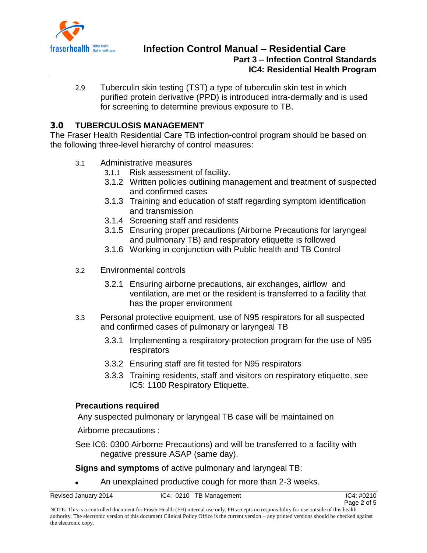

2.9 Tuberculin skin testing (TST) a type of tuberculin skin test in which purified protein derivative (PPD) is introduced intra-dermally and is used for screening to determine previous exposure to TB.

# **3.0 TUBERCULOSIS MANAGEMENT**

The Fraser Health Residential Care TB infection-control program should be based on the following three-level hierarchy of control measures:

- 3.1 Administrative measures
	- 3.1.1 Risk assessment of facility.
	- 3.1.2 Written policies outlining management and treatment of suspected and confirmed cases
	- 3.1.3 Training and education of staff regarding symptom identification and transmission
	- 3.1.4 Screening staff and residents
	- 3.1.5 Ensuring proper precautions (Airborne Precautions for laryngeal and pulmonary TB) and respiratory etiquette is followed
	- 3.1.6 Working in conjunction with Public health and TB Control
- 3.2 Environmental controls
	- 3.2.1 Ensuring airborne precautions, air exchanges, airflow and ventilation, are met or the resident is transferred to a facility that has the proper environment
- 3.3 Personal protective equipment, use of N95 respirators for all suspected and confirmed cases of pulmonary or laryngeal TB
	- 3.3.1 Implementing a respiratory-protection program for the use of N95 respirators
	- 3.3.2 Ensuring staff are fit tested for N95 respirators
	- 3.3.3 Training residents, staff and visitors on respiratory etiquette, see IC5: 1100 Respiratory Etiquette.

#### **Precautions required**

Any suspected pulmonary or laryngeal TB case will be maintained on

Airborne precautions :

See IC6: 0300 Airborne Precautions) and will be transferred to a facility with negative pressure ASAP (same day).

**Signs and symptoms** of active pulmonary and laryngeal TB:

An unexplained productive cough for more than 2-3 weeks.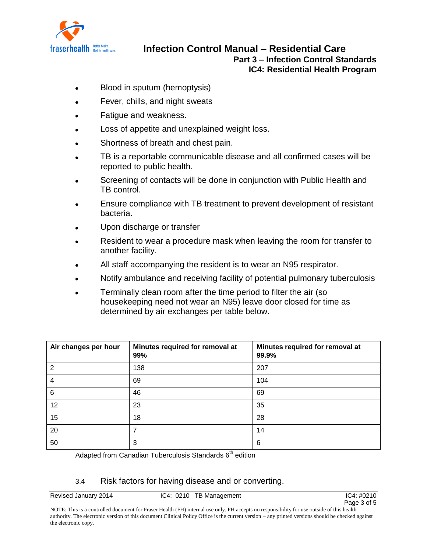

- Blood in sputum (hemoptysis)  $\bullet$
- Fever, chills, and night sweats  $\bullet$
- Fatigue and weakness.
- Loss of appetite and unexplained weight loss.  $\bullet$
- Shortness of breath and chest pain.
- TB is a reportable communicable disease and all confirmed cases will be reported to public health.
- Screening of contacts will be done in conjunction with Public Health and TB control.
- Ensure compliance with TB treatment to prevent development of resistant bacteria.
- Upon discharge or transfer
- Resident to wear a procedure mask when leaving the room for transfer to another facility.
- All staff accompanying the resident is to wear an N95 respirator.
- Notify ambulance and receiving facility of potential pulmonary tuberculosis
- Terminally clean room after the time period to filter the air (so housekeeping need not wear an N95) leave door closed for time as determined by air exchanges per table below.

| Air changes per hour | Minutes required for removal at<br>99% | Minutes required for removal at<br>99.9% |
|----------------------|----------------------------------------|------------------------------------------|
| $\overline{2}$       | 138                                    | 207                                      |
| 4                    | 69                                     | 104                                      |
| 6                    | 46                                     | 69                                       |
| 12                   | 23                                     | 35                                       |
| 15                   | 18                                     | 28                                       |
| 20                   |                                        | 14                                       |
| 50                   | 3                                      | 6                                        |

#### Adapted from Canadian Tuberculosis Standards  $6<sup>th</sup>$  edition

### 3.4 Risk factors for having disease and or converting.

Revised January 2014 **IC4:** 0210 TB Management **IC4:**  $C4$ :  $D210$  TB Management

NOTE: This is a controlled document for Fraser Health (FH) internal use only. FH accepts no responsibility for use outside of this health authority. The electronic version of this document Clinical Policy Office is the current version – any printed versions should be checked against the electronic copy.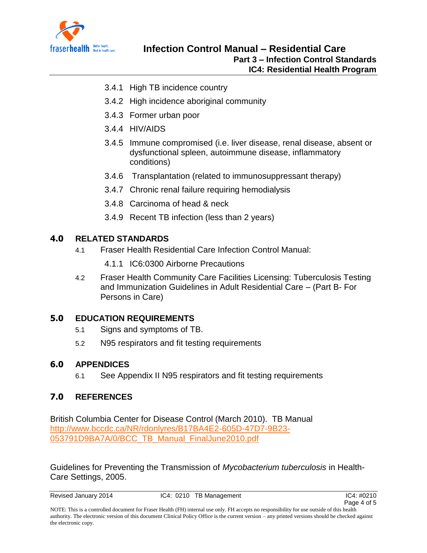

- 3.4.1 High TB incidence country
- 3.4.2 High incidence aboriginal community
- 3.4.3 Former urban poor
- 3.4.4 HIV/AIDS
- 3.4.5 Immune compromised (i.e. liver disease, renal disease, absent or dysfunctional spleen, autoimmune disease, inflammatory conditions)
- 3.4.6 Transplantation (related to immunosuppressant therapy)
- 3.4.7 Chronic renal failure requiring hemodialysis
- 3.4.8 Carcinoma of head & neck
- 3.4.9 Recent TB infection (less than 2 years)

## **4.0 RELATED STANDARDS**

- 4.1 Fraser Health Residential Care Infection Control Manual:
	- 4.1.1 IC6:0300 Airborne Precautions
- 4.2 Fraser Health Community Care Facilities Licensing: Tuberculosis Testing and Immunization Guidelines in Adult Residential Care – (Part B- For Persons in Care)

# **5.0 EDUCATION REQUIREMENTS**

- 5.1 Signs and symptoms of TB.
- 5.2 N95 respirators and fit testing requirements

# **6.0 APPENDICES**

6.1 See Appendix II N95 respirators and fit testing requirements

# **7.0 REFERENCES**

British Columbia Center for Disease Control (March 2010). TB Manual [http://www.bccdc.ca/NR/rdonlyres/B17BA4E2-605D-47D7-9B23-](http://www.bccdc.ca/NR/rdonlyres/B17BA4E2-605D-47D7-9B23-053791D9BA7A/0/BCC_TB_Manual_FinalJune2010.pdf) [053791D9BA7A/0/BCC\\_TB\\_Manual\\_FinalJune2010.pdf](http://www.bccdc.ca/NR/rdonlyres/B17BA4E2-605D-47D7-9B23-053791D9BA7A/0/BCC_TB_Manual_FinalJune2010.pdf)

Guidelines for Preventing the Transmission of *Mycobacterium tuberculosis* in Health-Care Settings, 2005.

Revised January 2014 **IC4:** 0210 TB Management **IC4:**  $P(0.4)$  IC4: #0210

NOTE: This is a controlled document for Fraser Health (FH) internal use only. FH accepts no responsibility for use outside of this health authority. The electronic version of this document Clinical Policy Office is the current version – any printed versions should be checked against the electronic copy.